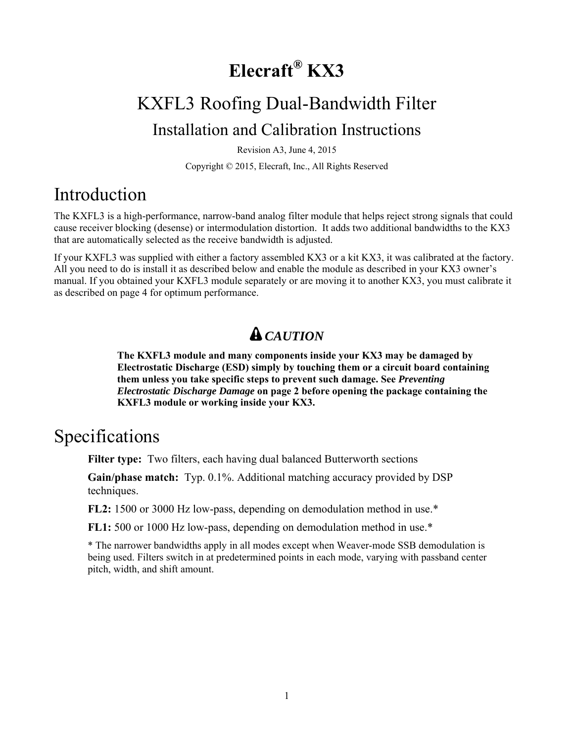# **Elecraft® KX3**

# KXFL3 Roofing Dual-Bandwidth Filter Installation and Calibration Instructions

Revision A3, June 4, 2015

Copyright © 2015, Elecraft, Inc., All Rights Reserved

## Introduction

The KXFL3 is a high-performance, narrow-band analog filter module that helps reject strong signals that could cause receiver blocking (desense) or intermodulation distortion. It adds two additional bandwidths to the KX3 that are automatically selected as the receive bandwidth is adjusted.

If your KXFL3 was supplied with either a factory assembled KX3 or a kit KX3, it was calibrated at the factory. All you need to do is install it as described below and enable the module as described in your KX3 owner's manual. If you obtained your KXFL3 module separately or are moving it to another KX3, you must calibrate it as described on page 4 for optimum performance.

## *CAUTION*

**The KXFL3 module and many components inside your KX3 may be damaged by Electrostatic Discharge (ESD) simply by touching them or a circuit board containing them unless you take specific steps to prevent such damage. See** *Preventing Electrostatic Discharge Damage* **on page 2 before opening the package containing the KXFL3 module or working inside your KX3.** 

## Specifications

**Filter type:** Two filters, each having dual balanced Butterworth sections

**Gain/phase match:** Typ. 0.1%. Additional matching accuracy provided by DSP techniques.

**FL2:** 1500 or 3000 Hz low-pass, depending on demodulation method in use.\*

**FL1:** 500 or 1000 Hz low-pass, depending on demodulation method in use.\*

\* The narrower bandwidths apply in all modes except when Weaver-mode SSB demodulation is being used. Filters switch in at predetermined points in each mode, varying with passband center pitch, width, and shift amount.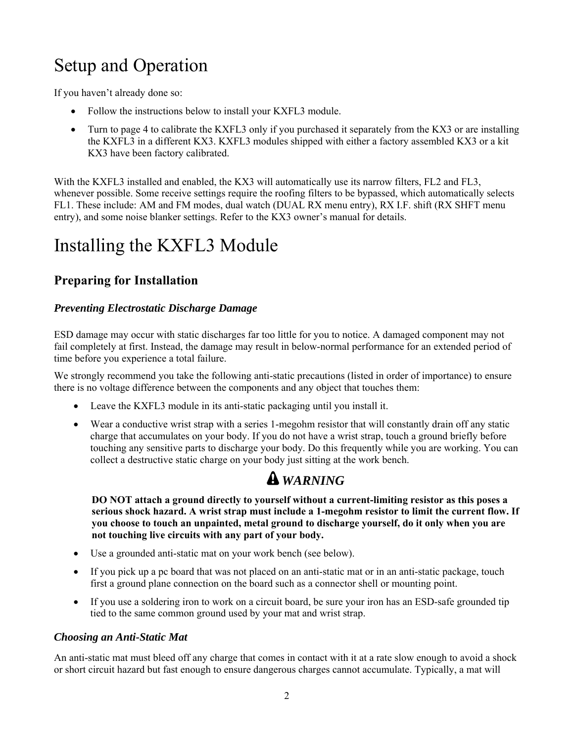# Setup and Operation

If you haven't already done so:

- Follow the instructions below to install your KXFL3 module.
- Turn to page 4 to calibrate the KXFL3 only if you purchased it separately from the KX3 or are installing the KXFL3 in a different KX3. KXFL3 modules shipped with either a factory assembled KX3 or a kit KX3 have been factory calibrated.

With the KXFL3 installed and enabled, the KX3 will automatically use its narrow filters, FL2 and FL3, whenever possible. Some receive settings require the roofing filters to be bypassed, which automatically selects FL1. These include: AM and FM modes, dual watch (DUAL RX menu entry), RX I.F. shift (RX SHFT menu entry), and some noise blanker settings. Refer to the KX3 owner's manual for details.

# Installing the KXFL3 Module

### **Preparing for Installation**

#### *Preventing Electrostatic Discharge Damage*

ESD damage may occur with static discharges far too little for you to notice. A damaged component may not fail completely at first. Instead, the damage may result in below-normal performance for an extended period of time before you experience a total failure.

We strongly recommend you take the following anti-static precautions (listed in order of importance) to ensure there is no voltage difference between the components and any object that touches them:

- Leave the KXFL3 module in its anti-static packaging until you install it.
- Wear a conductive wrist strap with a series 1-megohm resistor that will constantly drain off any static charge that accumulates on your body. If you do not have a wrist strap, touch a ground briefly before touching any sensitive parts to discharge your body. Do this frequently while you are working. You can collect a destructive static charge on your body just sitting at the work bench.

## *WARNING*

**DO NOT attach a ground directly to yourself without a current-limiting resistor as this poses a serious shock hazard. A wrist strap must include a 1-megohm resistor to limit the current flow. If you choose to touch an unpainted, metal ground to discharge yourself, do it only when you are not touching live circuits with any part of your body.** 

- Use a grounded anti-static mat on your work bench (see below).
- If you pick up a pc board that was not placed on an anti-static mat or in an anti-static package, touch first a ground plane connection on the board such as a connector shell or mounting point.
- If you use a soldering iron to work on a circuit board, be sure your iron has an ESD-safe grounded tip tied to the same common ground used by your mat and wrist strap.

#### *Choosing an Anti-Static Mat*

An anti-static mat must bleed off any charge that comes in contact with it at a rate slow enough to avoid a shock or short circuit hazard but fast enough to ensure dangerous charges cannot accumulate. Typically, a mat will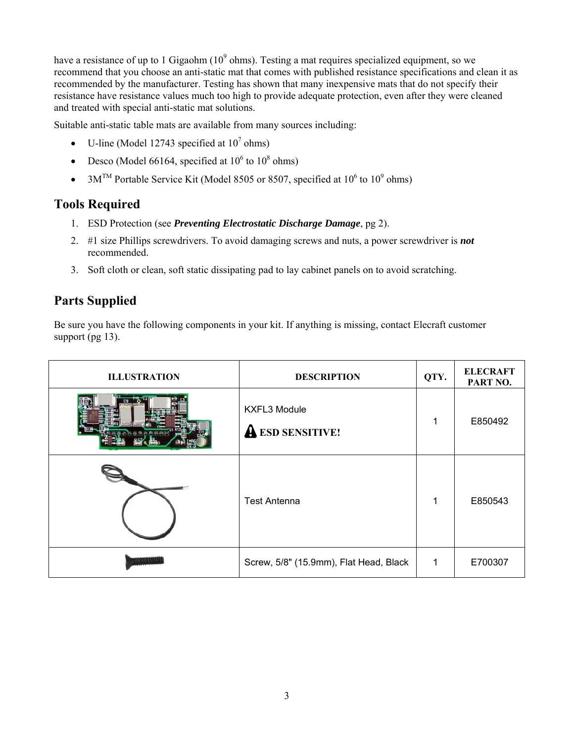have a resistance of up to 1 Gigaohm ( $10^9$  ohms). Testing a mat requires specialized equipment, so we recommend that you choose an anti-static mat that comes with published resistance specifications and clean it as recommended by the manufacturer. Testing has shown that many inexpensive mats that do not specify their resistance have resistance values much too high to provide adequate protection, even after they were cleaned and treated with special anti-static mat solutions.

Suitable anti-static table mats are available from many sources including:

- U-line (Model 12743 specified at  $10^7$  ohms)
- Desco (Model 66164, specified at  $10^6$  to  $10^8$  ohms)
- $3M^{TM}$  Portable Service Kit (Model 8505 or 8507, specified at 10<sup>6</sup> to 10<sup>9</sup> ohms)

### **Tools Required**

- 1. ESD Protection (see *Preventing Electrostatic Discharge Damage*, pg 2).
- 2. #1 size Phillips screwdrivers. To avoid damaging screws and nuts, a power screwdriver is *not*  recommended.
- 3. Soft cloth or clean, soft static dissipating pad to lay cabinet panels on to avoid scratching.

### **Parts Supplied**

Be sure you have the following components in your kit. If anything is missing, contact Elecraft customer support (pg 13).

| <b>ILLUSTRATION</b> | <b>DESCRIPTION</b>                             | QTY.        | <b>ELECRAFT</b><br>PART NO. |
|---------------------|------------------------------------------------|-------------|-----------------------------|
|                     | <b>KXFL3 Module</b><br><b>A ESD SENSITIVE!</b> | 1           | E850492                     |
|                     | <b>Test Antenna</b>                            | 1           | E850543                     |
|                     | Screw, 5/8" (15.9mm), Flat Head, Black         | $\mathbf 1$ | E700307                     |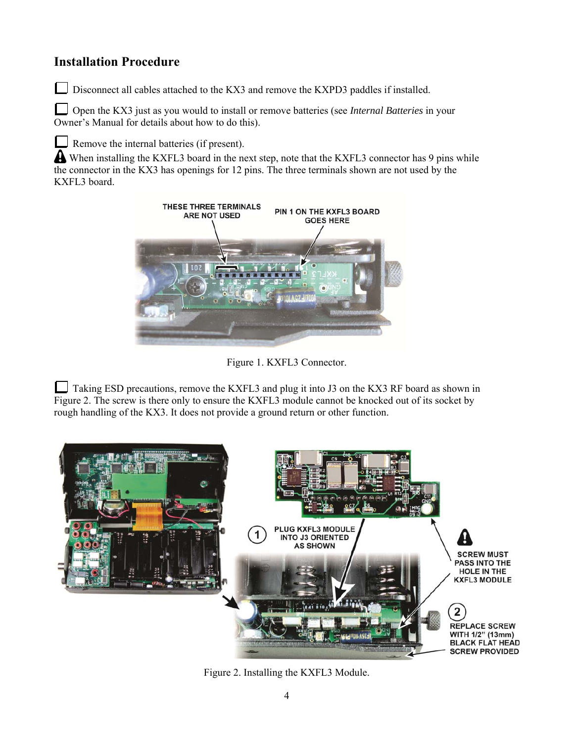### **Installation Procedure**

Disconnect all cables attached to the KX3 and remove the KXPD3 paddles if installed.

Open the KX3 just as you would to install or remove batteries (see *Internal Batteries* in your Owner's Manual for details about how to do this).

Remove the internal batteries (if present).

A When installing the KXFL3 board in the next step, note that the KXFL3 connector has 9 pins while the connector in the KX3 has openings for 12 pins. The three terminals shown are not used by the KXFL3 board.



Figure 1. KXFL3 Connector.

Taking ESD precautions, remove the KXFL3 and plug it into J3 on the KX3 RF board as shown in Figure 2. The screw is there only to ensure the KXFL3 module cannot be knocked out of its socket by rough handling of the KX3. It does not provide a ground return or other function.



Figure 2. Installing the KXFL3 Module.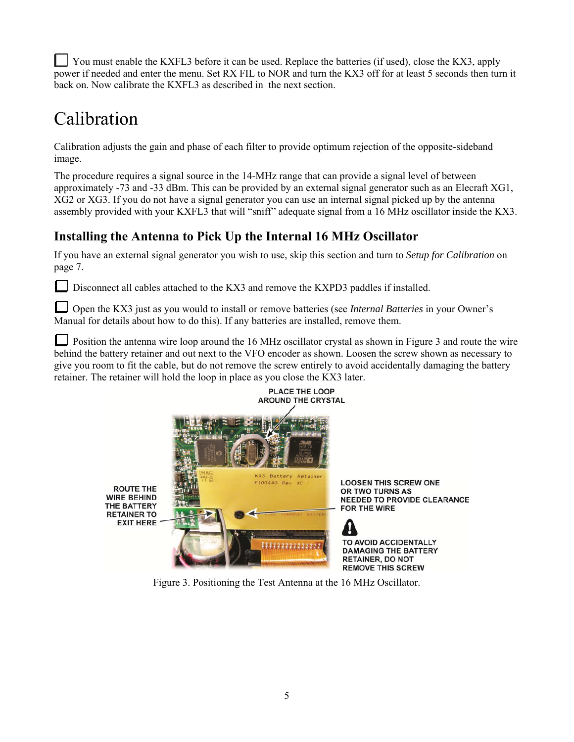You must enable the KXFL3 before it can be used. Replace the batteries (if used), close the KX3, apply power if needed and enter the menu. Set RX FIL to NOR and turn the KX3 off for at least 5 seconds then turn it back on. Now calibrate the KXFL3 as described in the next section.

# Calibration

Calibration adjusts the gain and phase of each filter to provide optimum rejection of the opposite-sideband image.

The procedure requires a signal source in the 14-MHz range that can provide a signal level of between approximately -73 and -33 dBm. This can be provided by an external signal generator such as an Elecraft XG1, XG2 or XG3. If you do not have a signal generator you can use an internal signal picked up by the antenna assembly provided with your KXFL3 that will "sniff" adequate signal from a 16 MHz oscillator inside the KX3.

### **Installing the Antenna to Pick Up the Internal 16 MHz Oscillator**

If you have an external signal generator you wish to use, skip this section and turn to *Setup for Calibration* on page 7.

Disconnect all cables attached to the KX3 and remove the KXPD3 paddles if installed.

Open the KX3 just as you would to install or remove batteries (see *Internal Batteries* in your Owner's Manual for details about how to do this). If any batteries are installed, remove them.

Position the antenna wire loop around the 16 MHz oscillator crystal as shown in Figure 3 and route the wire behind the battery retainer and out next to the VFO encoder as shown. Loosen the screw shown as necessary to give you room to fit the cable, but do not remove the screw entirely to avoid accidentally damaging the battery retainer. The retainer will hold the loop in place as you close the KX3 later.



Figure 3. Positioning the Test Antenna at the 16 MHz Oscillator.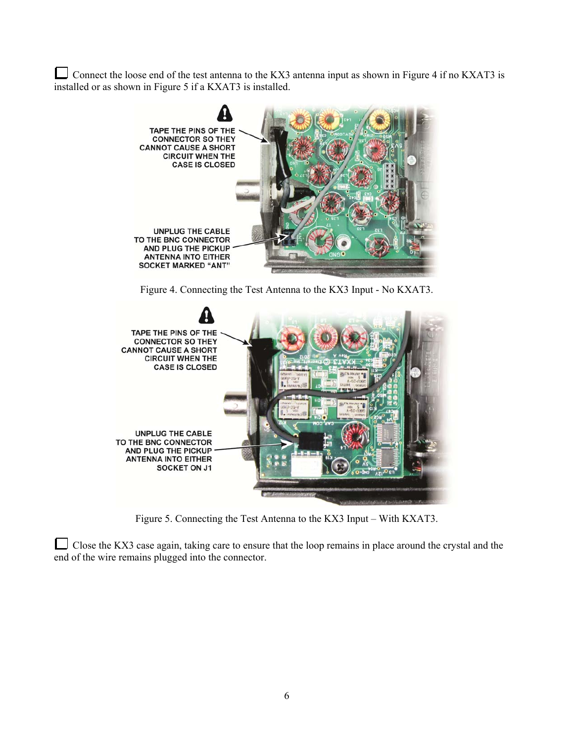Connect the loose end of the test antenna to the KX3 antenna input as shown in Figure 4 if no KXAT3 is installed or as shown in Figure 5 if a KXAT3 is installed.



Figure 4. Connecting the Test Antenna to the KX3 Input - No KXAT3.



Figure 5. Connecting the Test Antenna to the KX3 Input – With KXAT3.

Close the KX3 case again, taking care to ensure that the loop remains in place around the crystal and the end of the wire remains plugged into the connector.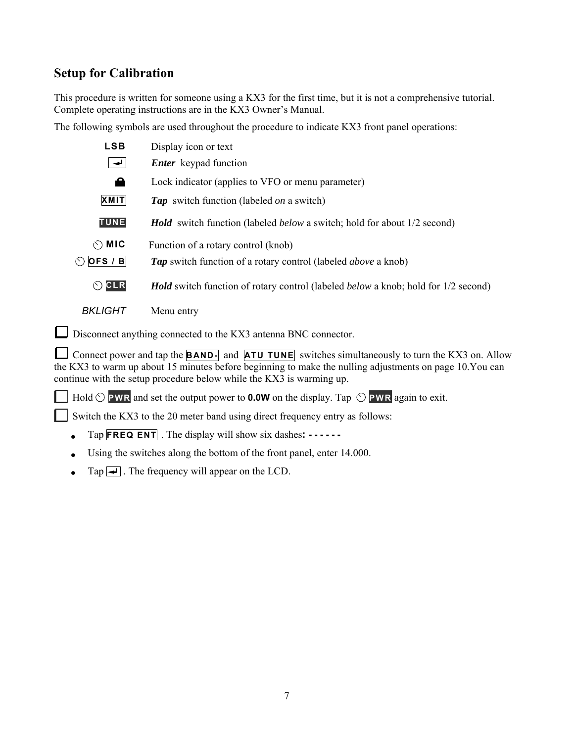### **Setup for Calibration**

This procedure is written for someone using a KX3 for the first time, but it is not a comprehensive tutorial. Complete operating instructions are in the KX3 Owner's Manual.

The following symbols are used throughout the procedure to indicate KX3 front panel operations:

| <b>LSB</b>              | Display icon or text                                                                             |  |  |
|-------------------------|--------------------------------------------------------------------------------------------------|--|--|
| $\rightarrow$           | <i>Enter</i> keypad function                                                                     |  |  |
| А                       | Lock indicator (applies to VFO or menu parameter)                                                |  |  |
| <b>XMIT</b>             | <b>Tap</b> switch function (labeled <i>on</i> a switch)                                          |  |  |
| <b>TUNE</b>             | <b>Hold</b> switch function (labeled <i>below</i> a switch; hold for about 1/2 second)           |  |  |
| $\circlearrowright$ MIC | Function of a rotary control (knob)                                                              |  |  |
| OFS / B<br>い            | <b>Tap</b> switch function of a rotary control (labeled <i>above</i> a knob)                     |  |  |
| OCLR                    | <b>Hold</b> switch function of rotary control (labeled <i>below</i> a knob; hold for 1/2 second) |  |  |
| <i>BKLIGHT</i>          | Menu entry                                                                                       |  |  |

Disconnect anything connected to the KX3 antenna BNC connector.

Connect power and tap the **BAND**- and **ATU TUNE** switches simultaneously to turn the KX3 on. Allow the KX3 to warm up about 15 minutes before beginning to make the nulling adjustments on page 10.You can continue with the setup procedure below while the KX3 is warming up.

 $\Box$  Hold  $\odot$  **PWR** and set the output power to **0.0W** on the display. Tap  $\odot$  **PWR** again to exit.

Switch the KX3 to the 20 meter band using direct frequency entry as follows:

- Tap **FREQ ENT** . The display will show six dashes**: - - -**
- Using the switches along the bottom of the front panel, enter 14.000.
- $\bullet$  Tap  $\overline{\bullet}$ . The frequency will appear on the LCD.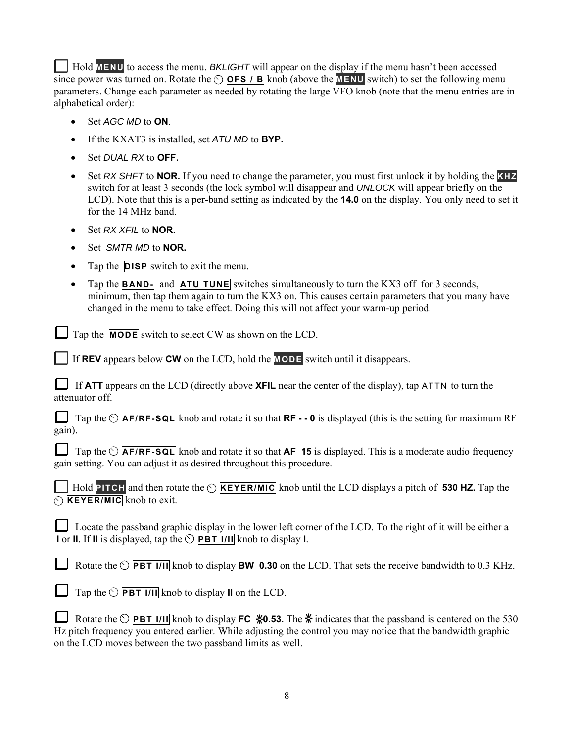Hold **MENU** to access the menu. *BKLIGHT* will appear on the display if the menu hasn't been accessed since power was turned on. Rotate the  $\circ$  **OFS / B** knob (above the **MENU** switch) to set the following menu parameters. Change each parameter as needed by rotating the large VFO knob (note that the menu entries are in alphabetical order):

- Set *AGC MD* to **ON**.
- If the KXAT3 is installed, set *ATU MD* to **BYP.**
- Set *DUAL RX* to **OFF.**
- Set *RX SHFT* to **NOR.** If you need to change the parameter, you must first unlock it by holding the **KHZ** switch for at least 3 seconds (the lock symbol will disappear and *UNLOCK* will appear briefly on the LCD). Note that this is a per-band setting as indicated by the **14.0** on the display. You only need to set it for the 14 MHz band.
- Set *RX XFIL* to **NOR.**
- Set *SMTR MD* to **NOR.**
- Tap the **DISP** switch to exit the menu.
- Tap the **BAND** and **ATU TUNE** switches simultaneously to turn the KX3 off for 3 seconds, minimum, then tap them again to turn the KX3 on. This causes certain parameters that you many have changed in the menu to take effect. Doing this will not affect your warm-up period.

Tap the **MODE** switch to select CW as shown on the LCD.

If **REV** appears below **CW** on the LCD, hold the **MODE** switch until it disappears.

If **ATT** appears on the LCD (directly above **XFIL** near the center of the display), tap  $\boxed{ATTN}$  to turn the attenuator off.

Tap the  $\circlearrowright$  **AF/RF-SQL** knob and rotate it so that **RF** - - 0 is displayed (this is the setting for maximum RF gain).

Tap the  $\circlearrowright$  **AF/RF-SQL** knob and rotate it so that **AF 15** is displayed. This is a moderate audio frequency gain setting. You can adjust it as desired throughout this procedure.

 $\Box$  Hold **PITCH** and then rotate the  $\odot$  **KEYER/MIC** knob until the LCD displays a pitch of **530 HZ.** Tap the **KEYER/MIC** knob to exit.

Locate the passband graphic display in the lower left corner of the LCD. To the right of it will be either a **I** or **II**. If **II** is displayed, tap the  $\circlearrowright$  **PBT I/II** knob to display **I**.

Rotate the  $\circlearrowright$  **PBT I/II** knob to display **BW 0.30** on the LCD. That sets the receive bandwidth to 0.3 KHz.

|  | $\Box$ Tap the $\Diamond$ <b>PBT 1/11</b> knob to display <b>II</b> on the LCD. |
|--|---------------------------------------------------------------------------------|
|--|---------------------------------------------------------------------------------|

Rotate the  $\circlearrowright$  **PBT I/II** knob to display **FC**  $*0.53$ . The  $*$  indicates that the passband is centered on the 530 Hz pitch frequency you entered earlier. While adjusting the control you may notice that the bandwidth graphic on the LCD moves between the two passband limits as well.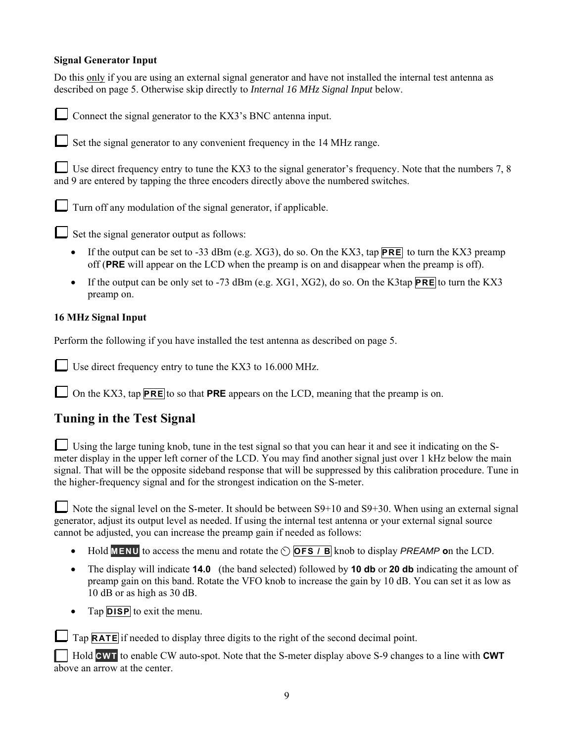#### **Signal Generator Input**

Do this only if you are using an external signal generator and have not installed the internal test antenna as described on page 5. Otherwise skip directly to *Internal 16 MHz Signal Input* below.

Connect the signal generator to the KX3's BNC antenna input. Set the signal generator to any convenient frequency in the 14 MHz range.

Use direct frequency entry to tune the KX3 to the signal generator's frequency. Note that the numbers 7, 8 and 9 are entered by tapping the three encoders directly above the numbered switches.

 $\Box$  Turn off any modulation of the signal generator, if applicable.

 $\Box$  Set the signal generator output as follows:

- If the output can be set to -33 dBm (e.g. XG3), do so. On the KX3, tap **PRE** to turn the KX3 preamp off (**PRE** will appear on the LCD when the preamp is on and disappear when the preamp is off).
- If the output can be only set to -73 dBm (e.g. XG1, XG2), do so. On the K3tap **PRE** to turn the KX3 preamp on.

#### **16 MHz Signal Input**

Perform the following if you have installed the test antenna as described on page 5.

Use direct frequency entry to tune the KX3 to 16.000 MHz.

On the KX3, tap **PRE** to so that **PRE** appears on the LCD, meaning that the preamp is on.

### **Tuning in the Test Signal**

Using the large tuning knob, tune in the test signal so that you can hear it and see it indicating on the Smeter display in the upper left corner of the LCD. You may find another signal just over 1 kHz below the main signal. That will be the opposite sideband response that will be suppressed by this calibration procedure. Tune in the higher-frequency signal and for the strongest indication on the S-meter.

Note the signal level on the S-meter. It should be between  $S9+10$  and  $S9+30$ . When using an external signal generator, adjust its output level as needed. If using the internal test antenna or your external signal source cannot be adjusted, you can increase the preamp gain if needed as follows:

- Hold **MENU** to access the menu and rotate the  $\circ$  **OFS** *I* B knob to display *PREAMP* on the LCD.
- The display will indicate **14.0** (the band selected) followed by **10 db** or **20 db** indicating the amount of preamp gain on this band. Rotate the VFO knob to increase the gain by 10 dB. You can set it as low as 10 dB or as high as 30 dB.
- Tap **DISP** to exit the menu.

Tap **RATE** if needed to display three digits to the right of the second decimal point.

 Hold **CWT** to enable CW auto-spot. Note that the S-meter display above S-9 changes to a line with **CWT**  above an arrow at the center.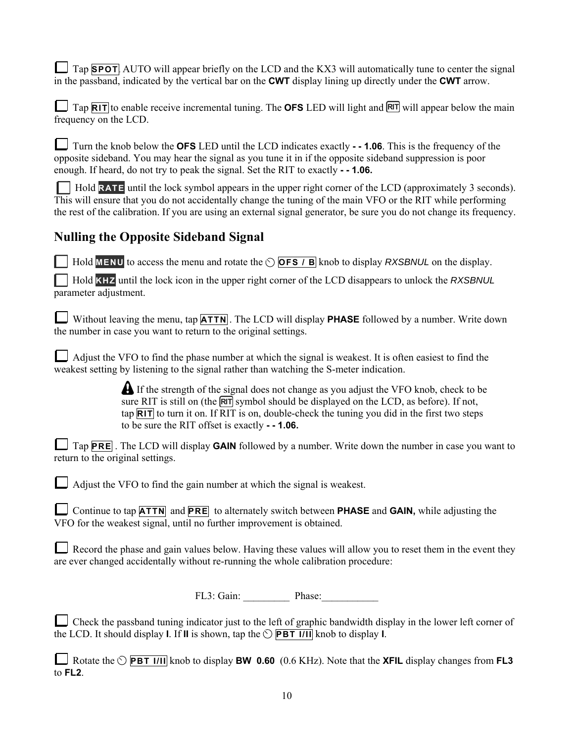$\Box$  Tap **SPOT** AUTO will appear briefly on the LCD and the KX3 will automatically tune to center the signal in the passband, indicated by the vertical bar on the **CWT** display lining up directly under the **CWT** arrow.

 $\Box$  Tap  $\overline{RIT}$  to enable receive incremental tuning. The **OFS** LED will light and  $\overline{RIT}$  will appear below the main frequency on the LCD.

Turn the knob below the **OFS** LED until the LCD indicates exactly **- - 1.06**. This is the frequency of the opposite sideband. You may hear the signal as you tune it in if the opposite sideband suppression is poor enough. If heard, do not try to peak the signal. Set the RIT to exactly **- - 1.06.** 

 Hold **RATE** until the lock symbol appears in the upper right corner of the LCD (approximately 3 seconds). This will ensure that you do not accidentally change the tuning of the main VFO or the RIT while performing the rest of the calibration. If you are using an external signal generator, be sure you do not change its frequency.

### **Nulling the Opposite Sideband Signal**

**Hold MENU** to access the menu and rotate the  $\circ$  **OFS** / **B** knob to display *RXSBNUL* on the display.

 Hold **KHZ** until the lock icon in the upper right corner of the LCD disappears to unlock the *RXSBNUL* parameter adjustment.

Without leaving the menu, tap **ATTN**. The LCD will display **PHASE** followed by a number. Write down the number in case you want to return to the original settings.

Adjust the VFO to find the phase number at which the signal is weakest. It is often easiest to find the weakest setting by listening to the signal rather than watching the S-meter indication.

> **A** If the strength of the signal does not change as you adjust the VFO knob, check to be sure RIT is still on (the  $\overline{RIT}$  symbol should be displayed on the LCD, as before). If not, tap **RIT** to turn it on. If RIT is on, double-check the tuning you did in the first two steps to be sure the RIT offset is exactly **- - 1.06.**

Tap **PRE** . The LCD will display **GAIN** followed by a number. Write down the number in case you want to return to the original settings.

 $\Box$  Adjust the VFO to find the gain number at which the signal is weakest.

Continue to tap **ATTN** and **PRE** to alternately switch between **PHASE** and **GAIN,** while adjusting the VFO for the weakest signal, until no further improvement is obtained.

Record the phase and gain values below. Having these values will allow you to reset them in the event they are ever changed accidentally without re-running the whole calibration procedure:

FL3: Gain: \_\_\_\_\_\_\_\_\_ Phase:\_\_\_\_\_\_\_\_\_\_\_

Check the passband tuning indicator just to the left of graphic bandwidth display in the lower left corner of the LCD. It should display **I**. If **II** is shown, tap the  $\circlearrowright$  **PBT I/II** knob to display **I**.

Rotate the  $\circlearrowright$  **PBT I/II** knob to display **BW 0.60** (0.6 KHz). Note that the **XFIL** display changes from **FL3** to **FL2**.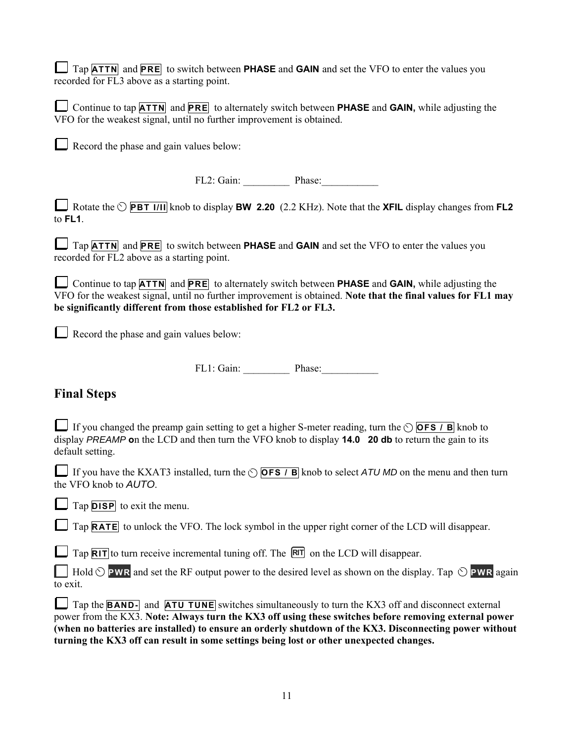Tap **ATTN** and **PRE** to switch between **PHASE** and **GAIN** and set the VFO to enter the values you recorded for FL3 above as a starting point.

| Continue to tap <b>ATTN</b> and <b>PRE</b> to alternately switch between <b>PHASE</b> and <b>GAIN</b> , while adjusting the |  |
|-----------------------------------------------------------------------------------------------------------------------------|--|
| VFO for the weakest signal, until no further improvement is obtained.                                                       |  |

Record the phase and gain values below:

FL2: Gain: \_\_\_\_\_\_\_\_\_ Phase:\_\_\_\_\_\_\_\_\_\_\_

Rotate the **PBT I/II** knob to display **BW 2.20** (2.2 KHz). Note that the **XFIL** display changes from **FL2**  to **FL1**.

Tap **ATTN** and **PRE** to switch between **PHASE** and **GAIN** and set the VFO to enter the values you recorded for FL2 above as a starting point.

Continue to tap **ATTN** and **PRE** to alternately switch between **PHASE** and **GAIN,** while adjusting the VFO for the weakest signal, until no further improvement is obtained. **Note that the final values for FL1 may be significantly different from those established for FL2 or FL3.** 

Record the phase and gain values below:

FL1: Gain: Phase:

### **Final Steps**

If you changed the preamp gain setting to get a higher S-meter reading, turn the  $\circ$  **OFS / B** knob to display *PREAMP* **o**n the LCD and then turn the VFO knob to display **14.0 20 db** to return the gain to its default setting.

If you have the KXAT3 installed, turn the  $\circ$  **OFS / B** knob to select *ATU MD* on the menu and then turn the VFO knob to *AUTO*.

Tap **DISP** to exit the menu.

Tap **RATE** to unlock the VFO. The lock symbol in the upper right corner of the LCD will disappear.

 $\Box$  Tap  $\overline{RIT}$  to turn receive incremental tuning off. The  $\overline{RIT}$  on the LCD will disappear.

 $\Box$  Hold  $\Diamond$  **PWR** and set the RF output power to the desired level as shown on the display. Tap  $\Diamond$  **PWR** again to exit.

Tap the **BAND**- and **ATU TUNE** switches simultaneously to turn the KX3 off and disconnect external power from the KX3. **Note: Always turn the KX3 off using these switches before removing external power (when no batteries are installed) to ensure an orderly shutdown of the KX3. Disconnecting power without turning the KX3 off can result in some settings being lost or other unexpected changes.**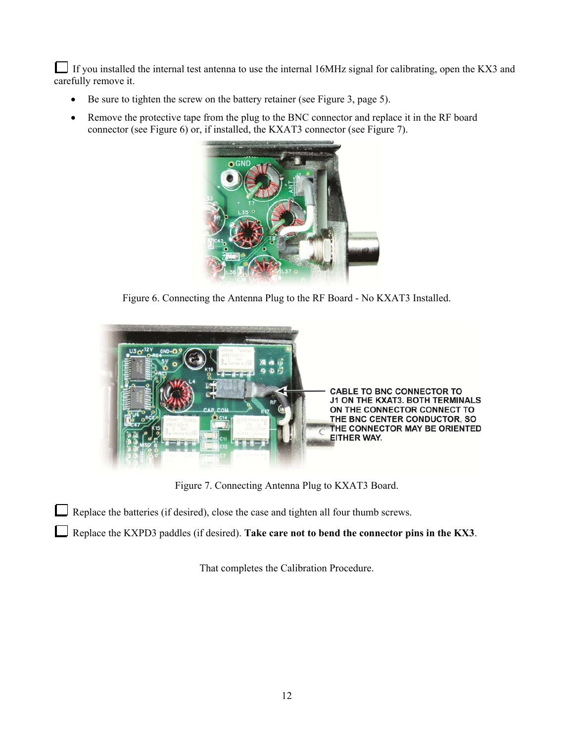If you installed the internal test antenna to use the internal 16MHz signal for calibrating, open the KX3 and carefully remove it.

- Be sure to tighten the screw on the battery retainer (see Figure 3, page 5).
- Remove the protective tape from the plug to the BNC connector and replace it in the RF board connector (see Figure 6) or, if installed, the KXAT3 connector (see Figure 7).



Figure 6. Connecting the Antenna Plug to the RF Board - No KXAT3 Installed.



Figure 7. Connecting Antenna Plug to KXAT3 Board.

Replace the batteries (if desired), close the case and tighten all four thumb screws.

Replace the KXPD3 paddles (if desired). Take care not to bend the connector pins in the KX3.

That completes the Calibration Procedure.